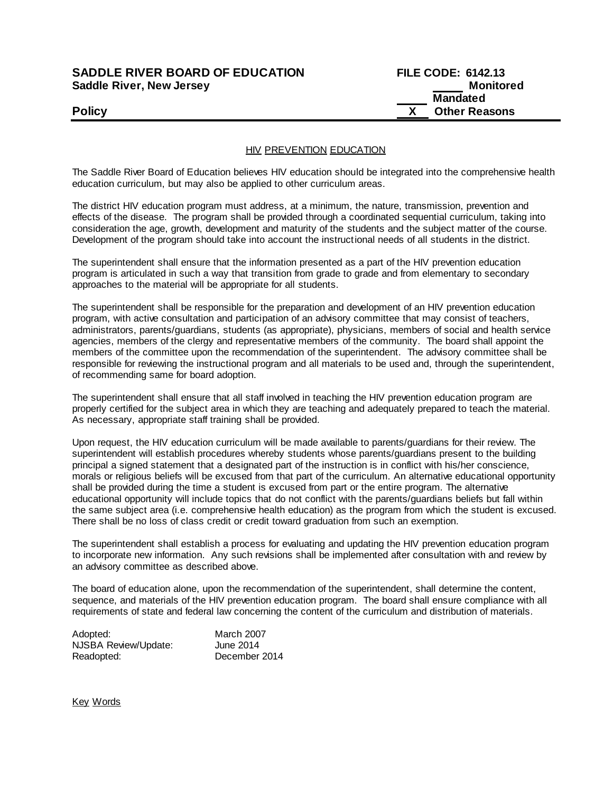## **SADDLE RIVER BOARD OF EDUCATION Saddle River, New Jersey**

| <b>SADDLE RIVER BOARD OF EDUCATION</b> | <b>FILE CODE: 6142.13</b> |
|----------------------------------------|---------------------------|
| Saddle River, New Jersey               | Monitored                 |
|                                        | Mandated                  |
| <b>Policy</b>                          | <b>Other Reasons</b>      |

HIV PREVENTION EDUCATION

The Saddle River Board of Education believes HIV education should be integrated into the comprehensive health education curriculum, but may also be applied to other curriculum areas.

The district HIV education program must address, at a minimum, the nature, transmission, prevention and effects of the disease. The program shall be provided through a coordinated sequential curriculum, taking into consideration the age, growth, development and maturity of the students and the subject matter of the course. Development of the program should take into account the instructional needs of all students in the district.

The superintendent shall ensure that the information presented as a part of the HIV prevention education program is articulated in such a way that transition from grade to grade and from elementary to secondary approaches to the material will be appropriate for all students.

The superintendent shall be responsible for the preparation and development of an HIV prevention education program, with active consultation and participation of an advisory committee that may consist of teachers, administrators, parents/guardians, students (as appropriate), physicians, members of social and health service agencies, members of the clergy and representative members of the community. The board shall appoint the members of the committee upon the recommendation of the superintendent. The advisory committee shall be responsible for reviewing the instructional program and all materials to be used and, through the superintendent, of recommending same for board adoption.

The superintendent shall ensure that all staff involved in teaching the HIV prevention education program are properly certified for the subject area in which they are teaching and adequately prepared to teach the material. As necessary, appropriate staff training shall be provided.

Upon request, the HIV education curriculum will be made available to parents/guardians for their review. The superintendent will establish procedures whereby students whose parents/guardians present to the building principal a signed statement that a designated part of the instruction is in conflict with his/her conscience, morals or religious beliefs will be excused from that part of the curriculum. An alternative educational opportunity shall be provided during the time a student is excused from part or the entire program. The alternative educational opportunity will include topics that do not conflict with the parents/guardians beliefs but fall within the same subject area (i.e. comprehensive health education) as the program from which the student is excused. There shall be no loss of class credit or credit toward graduation from such an exemption.

The superintendent shall establish a process for evaluating and updating the HIV prevention education program to incorporate new information. Any such revisions shall be implemented after consultation with and review by an advisory committee as described above.

The board of education alone, upon the recommendation of the superintendent, shall determine the content, sequence, and materials of the HIV prevention education program. The board shall ensure compliance with all requirements of state and federal law concerning the content of the curriculum and distribution of materials.

Adopted: March 2007 NJSBA Review/Update: June 2014 Readopted: December 2014

Key Words